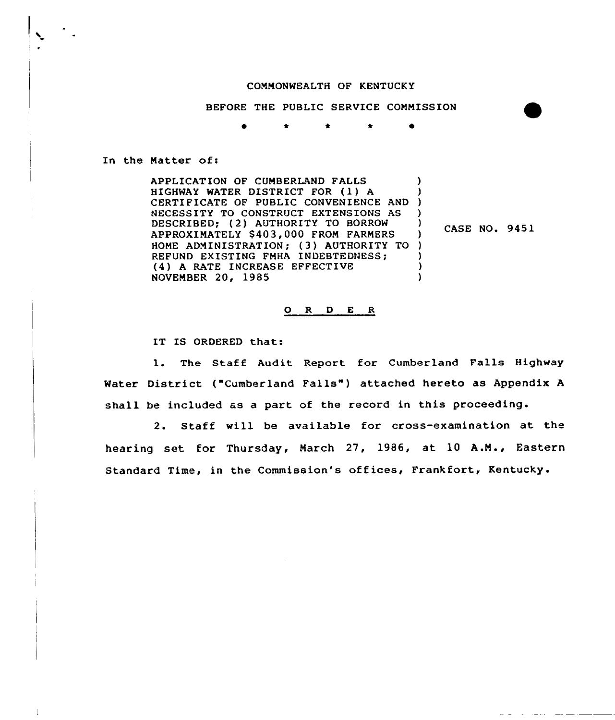## COMMONWEALTH OF KENTUCKY

BEFORE THE PUBLIC SERVICE COMMISSION

In the Matter of:

APPLICATION OF CUMBERLAND FALLS HIGHWAY WATER DISTRICT FOR (1) A CERTI FICATE OF PUBLIC CONVENIENCE AND ) NECESSITY TO CONSTRUCT EXTENSIONS AS ) DESCRIBED; (2) AUTHORITY TO BORROW APPROXIMATELY \$ 403, 000 FROM FARMERS HOME ADMINISTRATION; (3) AUTHORITY TO ) REFUND EXISTING FMHA INDEBTEDNESS; (4) <sup>A</sup> RATE INCREASE EFFECTIVE NOVEMBER 20, 1985 ) )  $\Big)$  CASE NO. 9451 ) ) )

#### 0 R <sup>D</sup> E R

IT IS ORDERED that:

l. The Staff Audit Report for Cumberland Falls Highway Water District ("Cumberland Falls") attached hereto as Appendix A shall be included as a part of the record in this proceeding.

2. Staff will be available for cross-examination at the hearing set for Thursday, March 27, 1986, at 10 A.M., Eastern Standard Time, in the Commission's offices, Frankfort, Kentucky.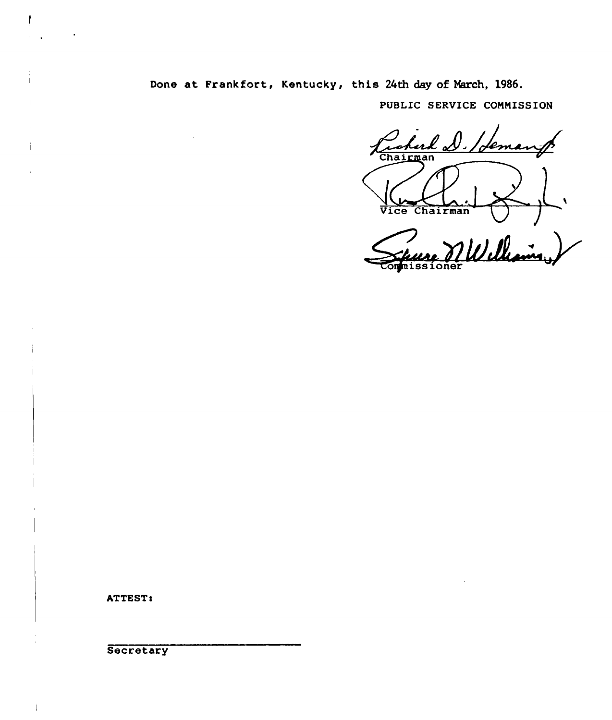## Done at Frankfort, Kentucky, this 24th day of Narch, 1986.

PUBLIC SERVICE CONNISSION

rohard D. /dem  $\overline{\mathsf{L}}.$ Vice Chairman

France Millewin

ATTEST:

Ī

**Secretary** 

 $\mathbf{i}$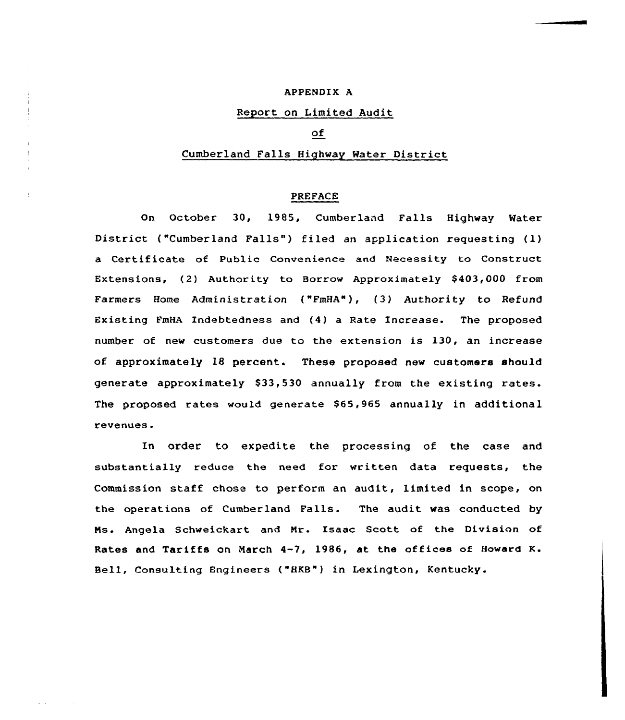#### APPENDIX A

## Report on Limited Audit

## of

## Cumberland Falls Highway Rater District

#### PREFACE

On October 30, 1985, Cumberland Falls Highway Water District ("Cumberland Falls") filed an application requesting (1) a Certificate of Public Convenience and Necessity to Construct Extensions, (2) Authority to Borrow Approximately \$403,000 from Farmers Home Administration ("FmHA"), (3) Authority to Refund Existing FmHA Indebtedness and (4) a Rate Increase. The proposed number of new customers due to the extension is 130, an increase of approximately 18 percent. These proposed new customers should generate approximately \$33,530 annually from the existing rates. The proposed rates would generate \$65,965 annually in additional revenues.

In order to expedite the processing of the case and substantially reduce the need for written data requests, the Commission staff chose to perform an audit, limited in scope, on the operations of Cumberland Falls. The audit was conducted by Ms. Angela Schweickart and Nr. Isaac Scott of the Division of Rates and Tariffs on March 4-7, 1986, at the offices of Howard K. Bell, Consulting Engineers ("HKB") in Lexington, Kentucky.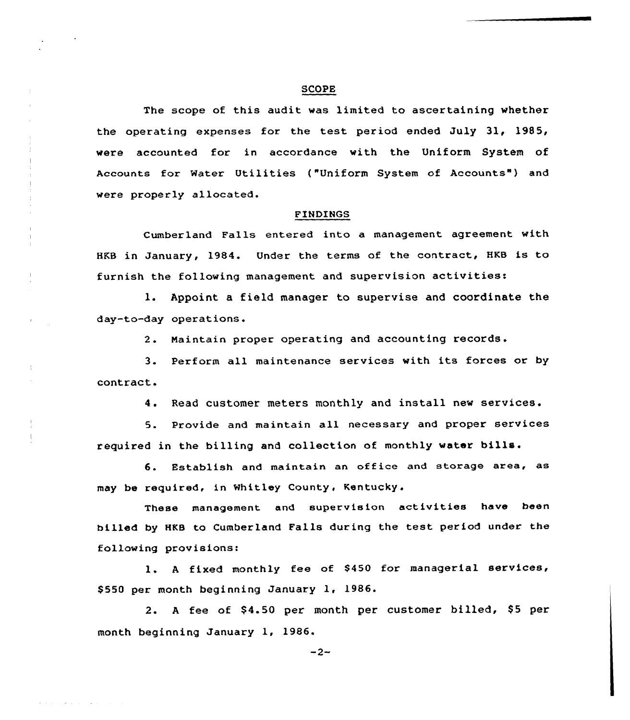#### SCOPE

The scope of this audit was limited to ascertaining whether the operating expenses for the test period ended July 31, 1985, vere accounted for in accordance with the Uniform System of Accounts for Water Utilities ("Uniform System of Accounts") and vere properly allocated.

#### FINDINGS

Cumberland Falls entered into a management agreement with HKB in January, 1984. Under the terms of the contract, HKB is to furnish the following management and supervision activities:

l. Appoint <sup>a</sup> field manager to supervise and coordinate the day-to-day operations.

2. Maintain proper operating and accounting records.

3. Pexform all maintenance services with its forces or by contract.

 $\frac{1}{3}$ 

4. Read customer meters monthly and install new services.

5. Provide and maintain all necessary and proper services required in the billing and collection of monthly water bills.

6. Establish and maintain an office and storage area, as may be required, in Whitley County, Kentucky.

These management and supervision activities have been billed by HKB to Cumberland Falls during the test period under the following provisions:

1. A fixed monthly fee of \$450 for managerial services, \$550 per month beginning January 1, 1986.

2. A fee of \$4.50 per month per customer billed, \$5 per month beginning January 1, 1986.

 $-2-$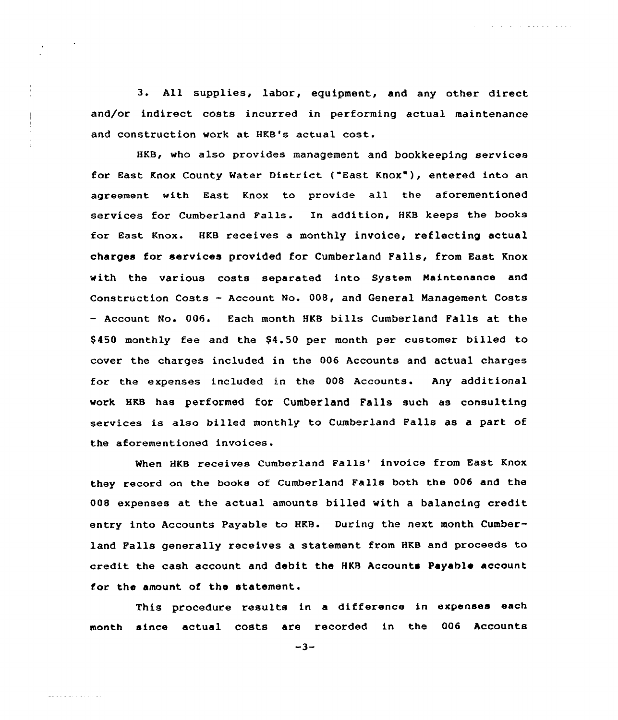3. All supplies, labor, eguipment, and any other direct and/or indirect costs incurred in performing actual maintenance and construction work at HKB's actual cost.

 $\mathcal{L}^{\mathcal{A}}$  . The set of the set of the set of the set of  $\mathcal{A}$ 

HKB, who also provides management and bookkeeping services for East Knox County Water District ("East Knox" ), entered into an agreement with East Knox to provide all the aforementioned services for Cumberland Fa1ls. In addition, HKB keeps the books for East Knox. HKB receives a monthly invoice, reflecting actual charges for services provided for Cumberland Falls, from East Knox with the various costs separated into System Naintenance and Construction Costs - Account No. 008, and General Management Costs - Account No. 006. Each month HKB bills Cumberland Falls at the \$ 450 monthly fee and the \$4.50 per month per customer billed to cover the charges included in the 006 Accounts and actual charges for the expenses included in the 008 Accounts. Any additional work HKB has performed fOr Cumberland Falls such as consulting services is also billed monthly to Cumberland Falls as a part of the aforementioned invoices.

When HKB receives Cumberland Falls' invoice from East Knox they record on the hooks of Cumberland Falls both the 006 and the 008 expenses at the actual amounts billed with a balancing credit entry into Accounts Payable to HKB. During the next month Cumberland Falls generally receives a statement from HKB and proceeds to credit the cash account and debit the HKR Accounts Payable account for the amount of the statement.

This procedure results in a difference in expenses each month since actual costs are recorded in the 006 Accounts

 $-3-$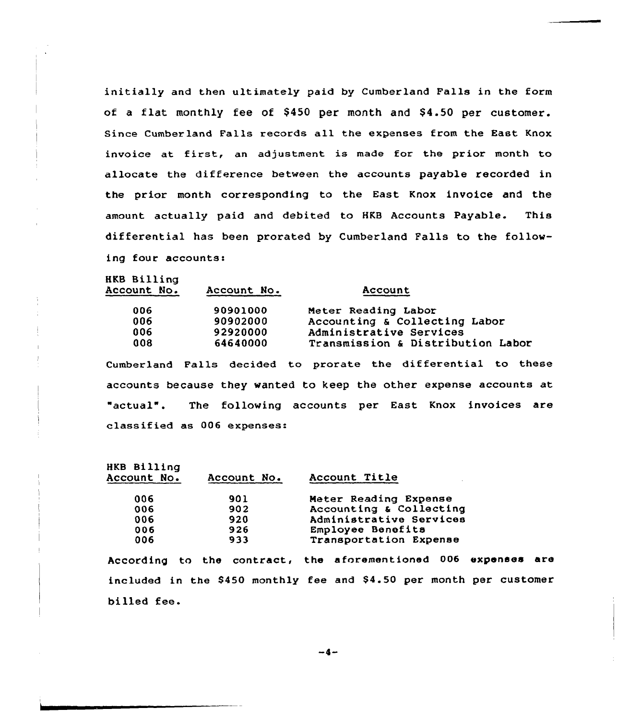initially and then ultimately paid by Cumberland Falls in the form of a flat monthly fee of \$450 per month and \$4.50 per customer. Since Cumberland Falls records all the expenses from the East Knox invoice at first, an adjustment is made for the prior month to allocate the difference between the accounts payable recorded in the prior month corresponding to the East Knox invoice and the amount actually paid and debited to HKB Accounts Payable. This differential has been prorated by Cumberland Falls to the following four accounts:

HKB Billing<br>Account No.

| <b>Account No.</b> | Account No. | Account                           |
|--------------------|-------------|-----------------------------------|
| 006                | 90901000    | Meter Reading Labor               |
| 006                | 90902000    | Accounting & Collecting Labor     |
| 006                | 92920000    | Administrative Services           |
| 008                | 64640000    | Transmission & Distribution Labor |
|                    |             |                                   |

Cumberland Falls decided to prorate the differential to these accounts because they wanted to keep the other expense accounts at "actual". The following accounts per East Knox invoices are classified as 006 expenses:

| HKB Billing<br>Account No. | Account No. | Account Title           |
|----------------------------|-------------|-------------------------|
| 006                        | 901         | Meter Reading Expense   |
| 006                        | 902         | Accounting & Collecting |
| 006                        | 920         | Administrative Services |
| 006                        | 926         | Employee Benefits       |
| 006                        | 933         | Transportation Expense  |

According to the contract, the aforementioned 006 expenses are included in the \$450 monthly fee and \$4.50 per month per customer billed fee.

 $-4-$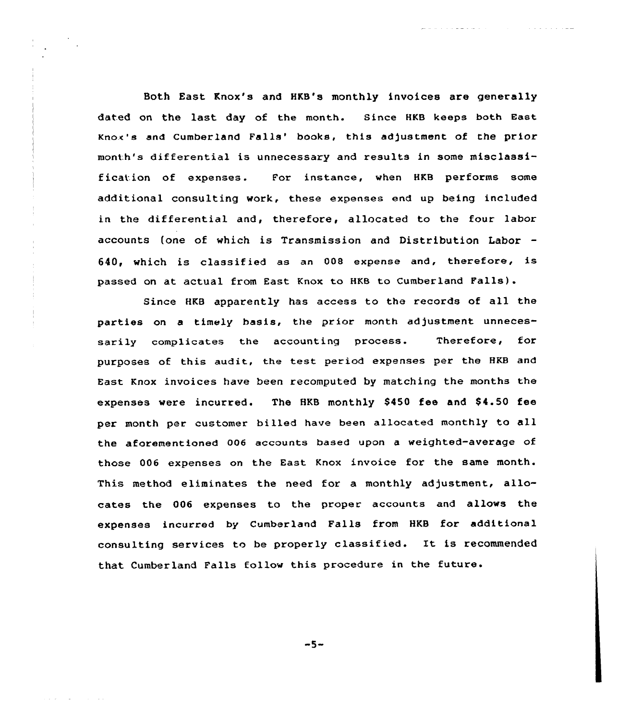Both East Knox's and HKB's monthly invoices are generally dated on the last day of the month. Since HKB keeps both East Knox's and Cumberland Falls' books, this adjustment of the prior month's differential is unnecessary and results in some misclassification of expenses. For instance, when HKB performs some additional consulting work, these expenses end up being included in the differential and, therefore, allocated to the four labor accounts (one of vhich is Transmission and Distribution Labor 640, which is classified as an <sup>008</sup> expense and, therefore, is passed on at actual from East Knox to HKB to Cumberland Falls).

and a straight and

and a complete service control of

Since HKB apparently has access to the records of all the parties on a timely basis, the prior month adjustment unnecessarily complicates the accounting process. Therefore, for purposes of this audit, the test period expenses per the HKB and East Knox invoices have been recomputed by matching the months the expenses were incurred. The HKB monthly \$450 fee and \$4.50 fee per month per customer billed have been allocated monthly to all the aforementioned 006 accounts based upon a weighted-average of those 006 expenses on the East Knox invoice for the same month. This method eliminates the need for a monthly adjustment, allocates the 006 expenses to the proper accounts and allows the expenses incurred by Cumberland Falls from HKB for additional consulting services to be properly classified. It is recommended that Cumberland Falls follow this procedure in the future.

 $-5-$ 

and the company of the com-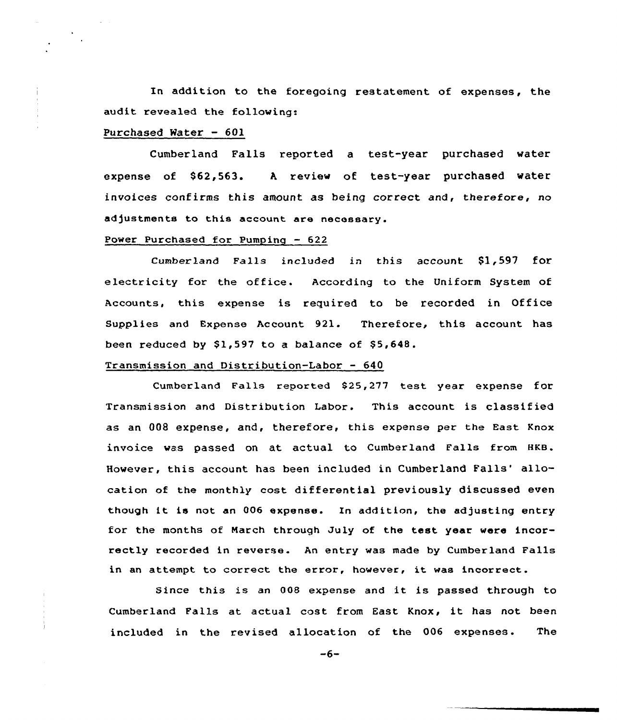In addition to the foregoing restatement of expenses, the audit revealed the following:

#### Purchased Water — 601

Cumberland Falls reported a test-year purchased water expense of \$62,563. <sup>A</sup> review of test-year purchased water invoices confirms this amount as being correct and, therefore, no adjustments to this account are necessary.

## Power Purchased for Pumpinq — 622

Cumberland Falls included in this account Sl,597 for electricity for the office. According to the Uniform System of Accounts, this expense is required to be recorded in Office Supplies and Expense Account 921. Therefore, this account has been reduced by  $$1,597$  to a balance of  $$5,648$ .

#### Transmission and Distribution-Labor — 640

Cumberland Falls reported \$25,277 test year expense for Transmission and Distribution Labor. This account is classified as an 008 expense, and, therefore, this expense per the East Knox invoice was passed on at actual to Cumberland Falls from HKB. However, this account has been included in Cumberland Falls' allocation of the monthly cost differential previously discussed even though it is not an 006 expense. Xn addition, the adjusting entry for the months of Narch through July of the test year were incorrectly recorded in reverse. An entry was made by Cumberland Falls in an attempt to correct the error, however, it was incorrect.

Since this is an <sup>008</sup> expense and it is passed through to Cumberland Falls at actual cost from East Knox, it has not been included in the revised allocation of the 006 expenses. The

 $-6-$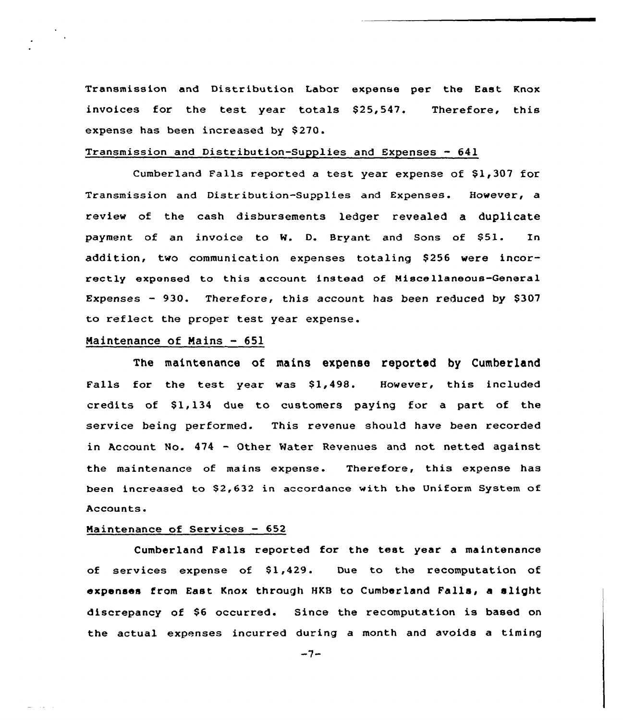Transmission and Distribution Labor expense per the East Knox invoices for the test year totals \$25,547. expense has been increased by \$270. Therefore, this

## Transmission and Distribution-Supplies and Expenses — 641

Cumberland Falls reported a test year expense of \$1,307 for Transmission and Distribution-Supplies and Expenses. However, a review of the cash disbursements ledger revealed a duplicate payment of an invoice to W. D. Bryant and Sons of \$51. In addition, two communication expenses totaling \$256 were incorrectly expensed to this account instead of Miscellaneous-General Expenses  $-930$ . Therefore, this account has been reduced by \$307 to reflect the proper test year expense.

## Maintenance of Mains — 651

The maintenance of mains expense reported by Cumberland Falls for the test year was \$1,498. However, this included credits of  $$1,134$  due to customers paying for a part of the service being performed. This revenue should have been recorded in Account No. <sup>474</sup> - Other Mater Revenues and not netted against the maintenance of mains expense. Therefore, this expense has been increased to \$2,632 in accordance with the Uniform System of Accounts.

#### Naintenance of Services — 652

Cumberland Falls reported for the test year a maintenance of services expense of  $$1,429$ . Due to the recomputation of expenses from East Knox through HKB to Cumberland Falls, a slight discrepancy of \$<sup>6</sup> occurred. Since the recomputation is based on the actual expenses incurred during a month and avoids a timing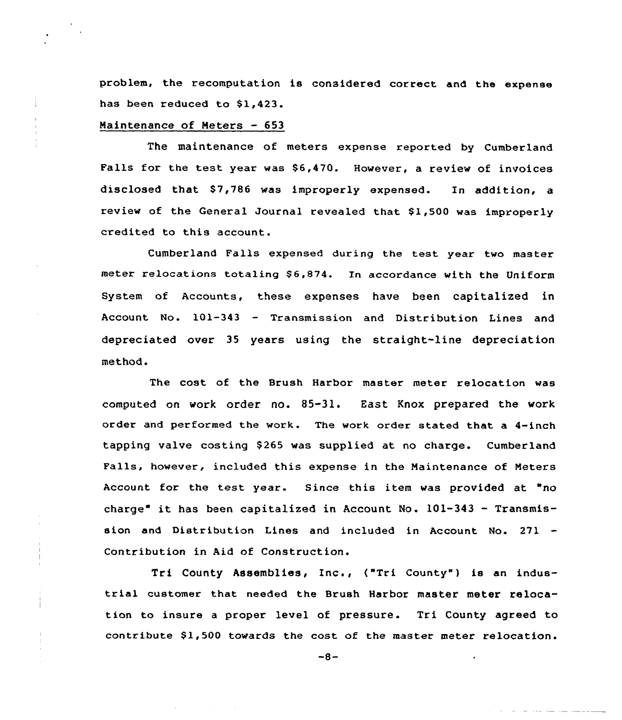problem, the recomputation is considered correct and the expense has been reduced to \$1,423.

#### Maintenance of Meters — 653

The maintenance of meters expense reported by Cumberland Falls for the test year was \$6,470. However, a review of invoices disclosed that \$7,786 was improperly expensed. In addition, a review of the General Journal revealed that 81,500 was improperly credited to this account.

Cumberland Falls expensed during the test year two master meter relocations totaling \$6,874. In accordance with the Uniform System of Accounts, these expenses have been capitalized in Account No. 101-343 — Transmission and Distribution Lines and depreciated over 35 years using the straight-line depreciation method.

The cost of the Brush Harbor master meter relocation was computed on work order no. 85-31. East Knox prepared the work order and performed the work. The work order stated that a 4-inch tapping valve costing \$265 was supplied at no charge. Cumberland Falls, however, included this expense in the Maintenance of Meters Account for the test year. Since this item was provided at "no charge" it has been capitalized in Account No.  $101-343$  - Transmission and Distribution Lines and included in Account No. 271 Contribution in Aid of Construction.

Tri County Assemblies, Inc., ("Tri County") is an industrial customer that needed the Brush Harbor master meter relocation to insure a proper level of pressure. Tri County agreed to contribute \$1,500 towards the cost of the master meter relocation.

 $-8-$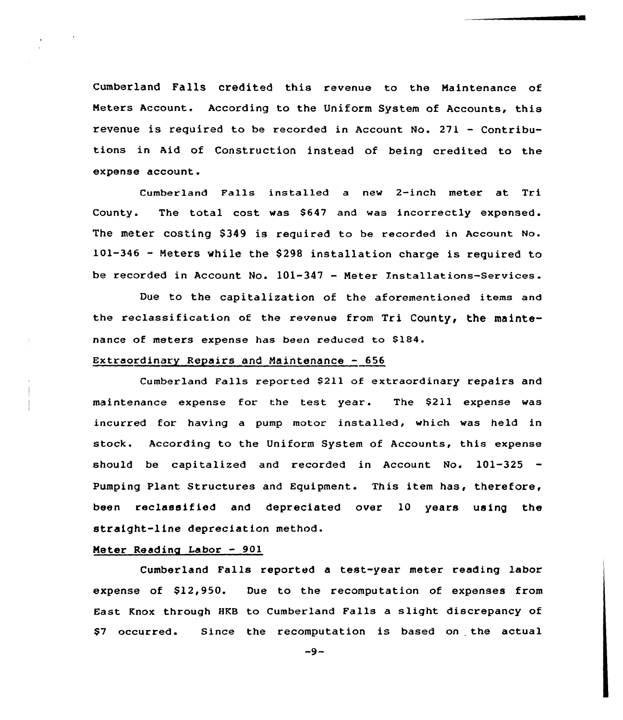Cumberland Falls credited this revenue to the Maintenance of Meters Account. According to the Uniform System of Accounts, this revenue is required to be recorded in Account. No. 271 — Contributions in Aid of Construction instead of being credited to the expense account.

Cumberland Falls installed a new 2-inch meter at Tri County. The total cost was \$647 and was incorrectly expensed. The meter costing \$349 is required to be recorded in Account No. 101-346 - Meters while the \$298 installation charge is required to be recorded in Account No. 101-347 — Meter Xnstallations-Services.

Due to the capitalization of the aforementioned items and the reclassification of the revenue from Tri County, the maintenance of meters expense has been reduced to \$184.

## Extraordinary Repairs and Maintenance  $-656$

Cumberland Falls reported \$211 of extraordinary repairs and maintenance expense for the test year. The \$211 expense was incurred for having a pump motor installed, which was held in stock. According to the Uniform System of Accounts, this expense should be capitalized and recorded in Account No. 101-325 -Pumping Plant Structures and Equipment. This item has, therefore, been reclassified and depreciated over 10 years using the straight-line depreciation method.

#### Meter Reading Labor — 901

Cumberland Falls reported a test-year meter reading labor expense of  $$12,950$ . Due to the recomputation of expenses from East Knox through HKB to Cumberland Falls a slight discrepancy of \$7 occurred. Since the recomputation is based on the actual

 $-9-$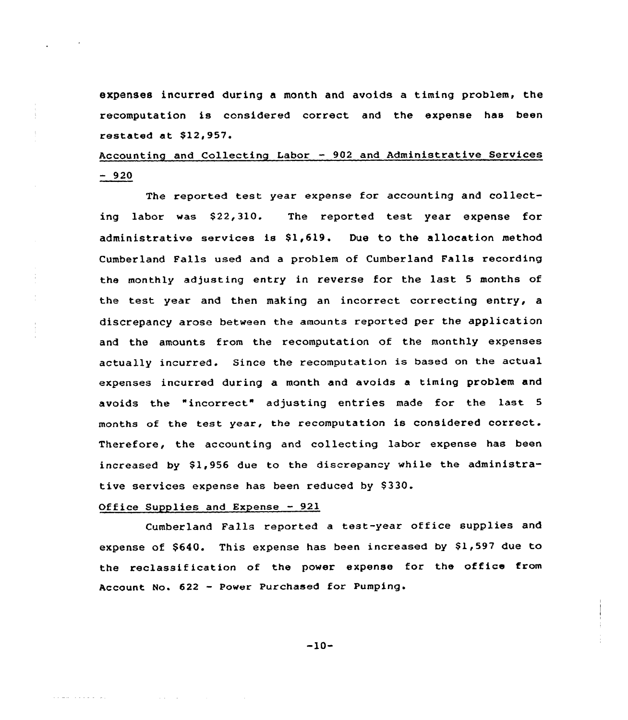expenses incurred during a month and avoids a timing problem, the recomputation is considered correct and the expense has been restated at \$12,957.

# Accounting and Collecting Labor — 902 and Administrative Services  $-920$

The reported test year expense for accounting and collecting labor was \$22,310. The reported test year expense for administrative services is  $$1,619$ . Due to the allocation method Cumberland Falls used and a problem of Cumberland Falls recording the monthly adjusting entry in reverse for the last <sup>5</sup> months of the test year and then making an incorrect correcting entry, a discrepancy arose between the amounts reported per the application and the amounts from the recomputation of the monthly expenses actually incurred. Since the recomputation is based on the actual expenses incurred during a month and avoids a timing problem and avoids the "incorrect" adjusting entries made for the last 5 months of the test year, the recomputation is considered correct. Therefore, the accounting and collecting labor expense has been increased by \$1,956 due to the discrepancy while the administrative services expense has been reduced by \$330.

## Office Supplies and Expense — 921

**Carl Corp.** 

and was a strong control.

Cumberland Falls reported <sup>a</sup> test-year office supplies and expense of \$640. This expense has been increased by \$1,597 due to the reclassification of the power expense for the office from Account No. <sup>622</sup> - Power Purchased for Pumping.

-10-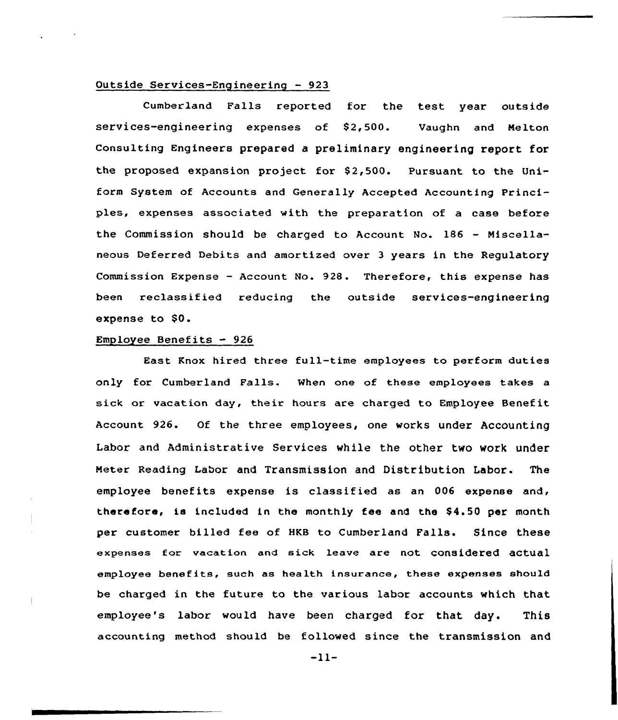## Outside Services-Engineering — 923

Cumberland Falls reported for the test year outside services-engineering expenses of \$2,500. Vaughn and Melton consulting Engineers prepared a preliminary engineering report for the proposed expansion project for \$2,500. Pursuant to the Uniform System of Accounts and Generally Accepted Accounting Principles, expenses associated with the preparation of a case before the Commission should be charged to Account No. 186 — Miscellaneous Deferred Debits and amortized over 3 years in the Regulatory Commission Expense — Account No. 928. Therefore, this expense has been reclassified reducing the outside services-engineering expense to \$0.

## Employee Benefits — 926

East Knox hired three full-time employees to perform duties only for Cumberland Falls. When one of these employees takes a sick or vacation day, their hours are charged to Employee Benefit Account 926. Of the three employees, one works under Accounting Labor and Administrative Services while the other two work under Heter Reading Labor and Transmission and Distribution Labor. The employee benefits expense is classified as an 006 expense and, therefore, is included in the monthly fee and the \$4.50 per month per customer billed fee of HKB to Cumberland Falls. Since these expenses for vacation and sick leave are not considered actual employee benefits, such as health insurance, these expenses should be charged in the future to the various labor accounts which that employee's labor would have been charged for that day. This accounting method should be followed since the transmission and

 $-11-$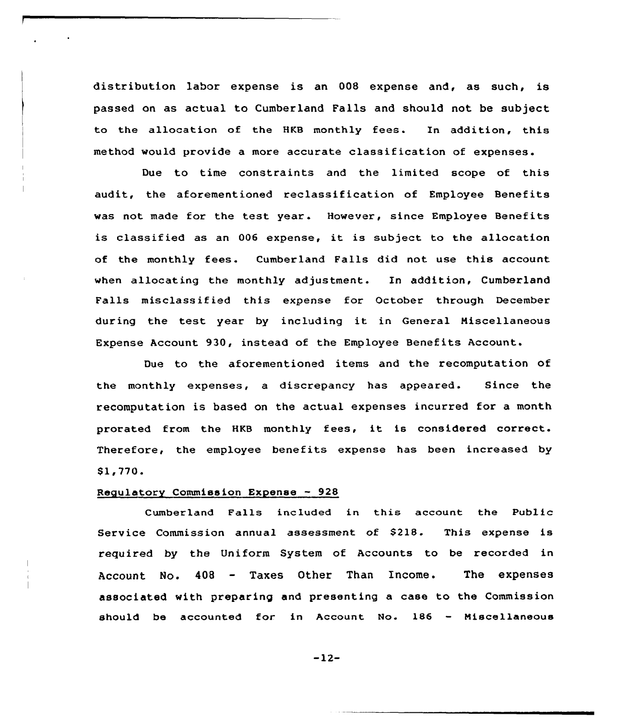distribution labor expense is an 008 expense and, as such, is passed on as actual to Cumberland Falls and should not be subject to the allocation of the HKB monthly fees. In addition, this method would provide a more accurate classification of expenses.

Due to time constraints and the limited scope of this audit, the aforementioned reclassification of Employee Benefits was not made for the test year. However, since Employee Benefits is classified as an <sup>006</sup> expense, it is subject to the allocation of the monthly fees. Cumberland Falls did not use this account when allocating the monthly adjustment. In addition, Cumberland Falls misclassified this expense for October through December during the test year by including it in General Niscellaneous Expense Account 930, instead of the Employee Benefits Account.

Due to the aforementioned items and the recomputation of the monthly expenses, a discrepancy has appeared. Since the recomputation is based on the actual expenses incurred for a month prorated from the HKB monthly fees, it is considered correct. Therefore, the employee benefits expense has been increased by 81,770.

## Regulatory Commission Expense — 928

Cumberland Falls included in this account the Public Service Commission annual assessment of S218- This expense is required by the Uniform System of Accounts to be recorded in Account No. 408 — Taxes Other Than Income. The expenses associated with preparing and presenting a case to the Commission should be accounted for in Account No. 186 — Miscellaneous

 $-12-$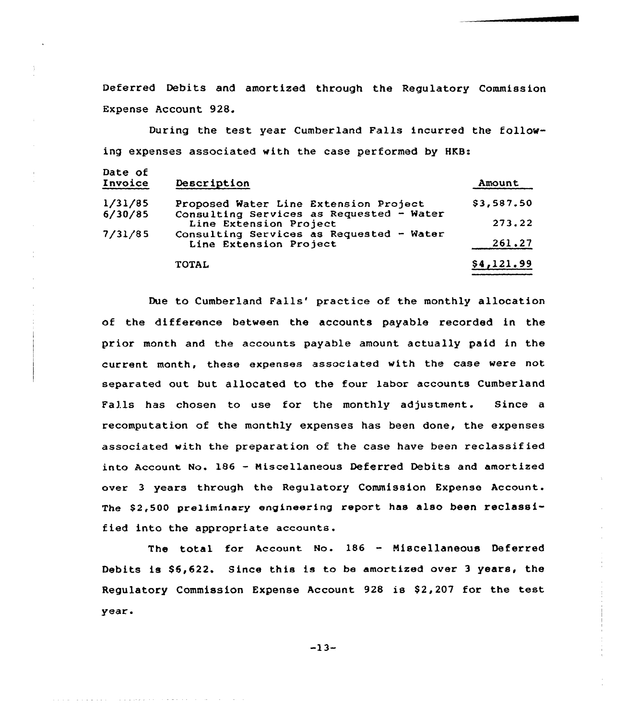Deferred Debits and amortized through the Regulatory Commission Expense Account 928.

During the test year Cumberland Falls incurred the following expenses associated with the case performed by HKB:

| Date of<br>Invoice | Description                                                        | Amount     |
|--------------------|--------------------------------------------------------------------|------------|
| 1/31/85            | Proposed Water Line Extension Project                              | \$3,587.50 |
| 6/30/85            | Consulting Services as Requested - Water<br>Line Extension Project | 273,22     |
| 7/31/85            | Consulting Services as Requested - Water<br>Line Extension Project | 261.27     |
|                    | <b>TOTAL</b>                                                       | \$4,121.99 |

Due to Cumberland Falls' practice of the monthly allocation of the difference between the accounts payable recorded in the prior month and the accounts payable amount actually paid in the current month, these expenses associated with the case were not separated out but allocated to the four labor accounts Cumberland Falls has chosen to use for the monthly adjustment. Since a recomputation of the monthly expenses has been done, the expenses associated with the preparation of the case have been reclassified into Account No. 186 - Miscellaneous Deferred Debits and amortized over 3 years through the Regulatory Commission Expense Account. The \$2,500 preliminary engineering report has also been reclassified into the appropriate accounts.

The total for Account No. 186 — Niscellaneous Deferred Debits is \$5,622. Since this is to be amortized over 3 years, the Regulatory Commission Expense Account 928 is \$2,207 for the test year.

 $-13-$ 

المناور والمتحدث والمتوقف والمتاريخ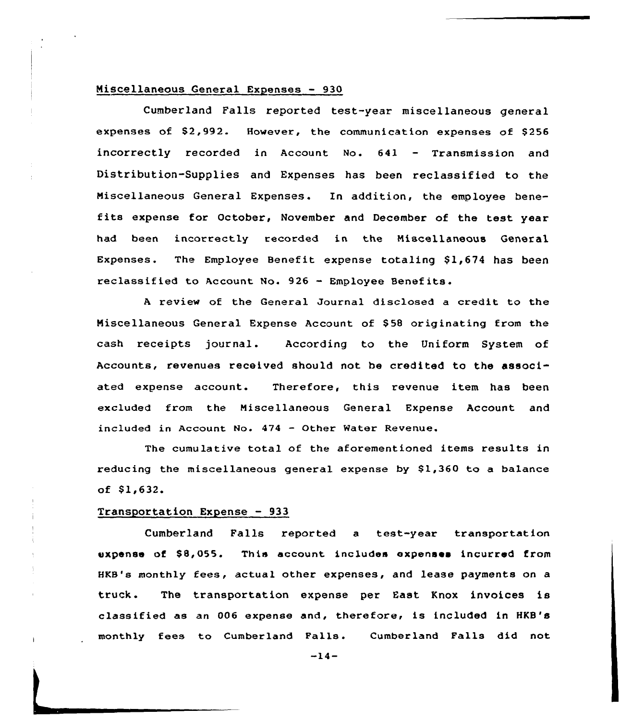## Miscellaneous General Expenses — 930

Cumberland Falls reported test-year miscellaneous general expenses of \$2,992. However, the communication expenses of \$256 incorrectly recorded in Account Mo. 641 — Transmission and Distribution-Supplies and Expenses has been reclassified to the Niscellaneous General Expenses. ln addition, the employee benefits expense for October, November and December of the test year had been incorrectly recorded in the Niscellaneous General Expenses. The Employee Benefit expense totaling  $$1,674$  has been reclassified to Account No.  $926 -$  Employee Benefits.

review of the General Journal disclosed a credit to the Miscellaneous General Expense Account of \$58 originating from the cash receipts journal. According to the Uniform System of Accounts, revenues received should not be credited to the associated expense account. Therefore, this revenue item has been excluded from the Niscellaneous General Expense Account and included in Account No. 474 — Other Water Revenue.

The cumulative total of the aforementioned items results in reducing the miscellaneous general expense by  $$1,360$  to a balance  $of $1,632.$ 

#### Transportation Expense — 933

Cumberland Falls reported a test-year transportation expense of \$8,055. This account includes expenses incurred from HKB's monthly fees, actual other expenses, and lease payments on a truck. The transportation expense per East Knox invoices is classified as an 006 expense and, therefore, is included in HKB's monthly fees to Cumberland Falls. Cumberland Falls did not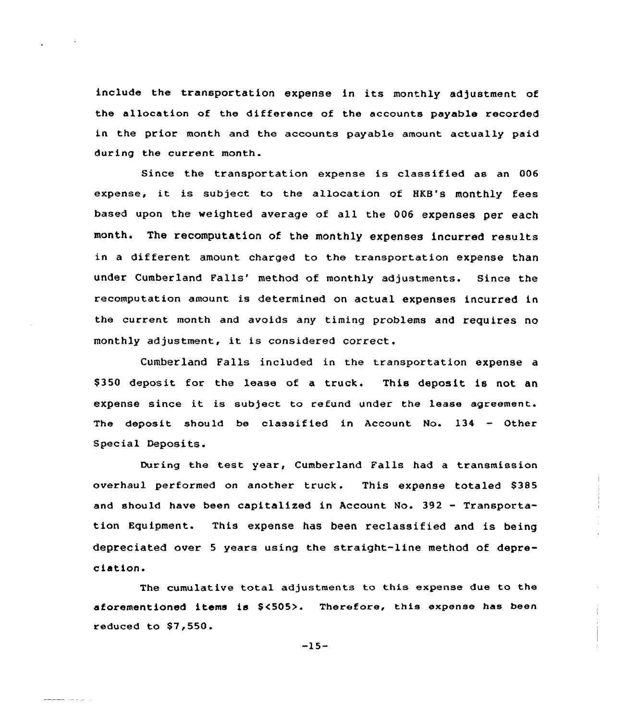include the transportation expense in its monthly adjustment of the allocation of the difference of the accounts payable recorded in the prior month and the accounts payable amount actually paid during the current month.

Since the transportation expense is classified as an 006 expense, it is subject to the allocation of HKB's monthly fees based upon the weighted average of all the 006 expenses per each month. The recomputation of the monthly expenses incurred results in a different amount charged to the transportation expense than under Cumberland Falls' method of monthly adjustments. Since the recomputatian amaunt is determined on actual expenses incurred in the current month and avoids any timing problems and requires no monthly adjustment, it is considered correct.

Cumberland Falls included in the transportation expense a \$350 deposit for the lease of a truck. This deposit is not an expense since it is subject to refund under the lease agreement. The deposit should be classified in Account No. 134 - Other Special Deposits.

During the test year, Cumberland Falls had <sup>a</sup> transmission overhaul performed an another truck. This expense totaled 8385 and should have been capitalized in Account No. <sup>392</sup> - Transportation Equipment. This expense has been reclassified and is being depreciated over <sup>5</sup> years using the straight-line method of depreciation.

The cumulative total adjustments ta this expense due to the aforementioned items is \$<505>. Therefore, this expense has been reduced to  $$7,550.$ 

-15-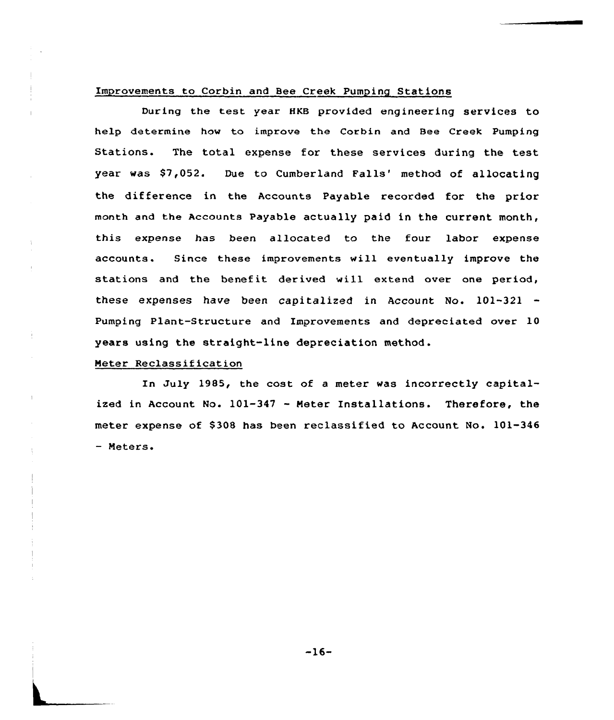#### Improvements to Corbin and Bee Creek Pumping Stations

During the test year HKB provided engineering services to help determine how to improve the Corbin and Bee Creek Pumping Stations. The total expense for these services during the test year was \$7,052. Due to Cumberland Falls' method of allocating the difference in the Accounts Payable recorded for the prior month and the Accounts Payable actually paid in the current month, this expense has been allocated to the four labor expense accounts. Since these improvements will eventually improve the stations and the benefit derived will extend over one period, these expenses have been capitalized in Account No. 101-321 Pumping Plant-Structure and Improvements and depreciated over 10 years using the straight-line depreciation method.

## Meter Reclassification

In July 1985, the cost of <sup>a</sup> meter was incorrectly capitalized in Account No. 101-347 — Heter Installations. Therefore, the meter expense of \$308 has been reclassified to Account No. 101-346 Meters.

-16-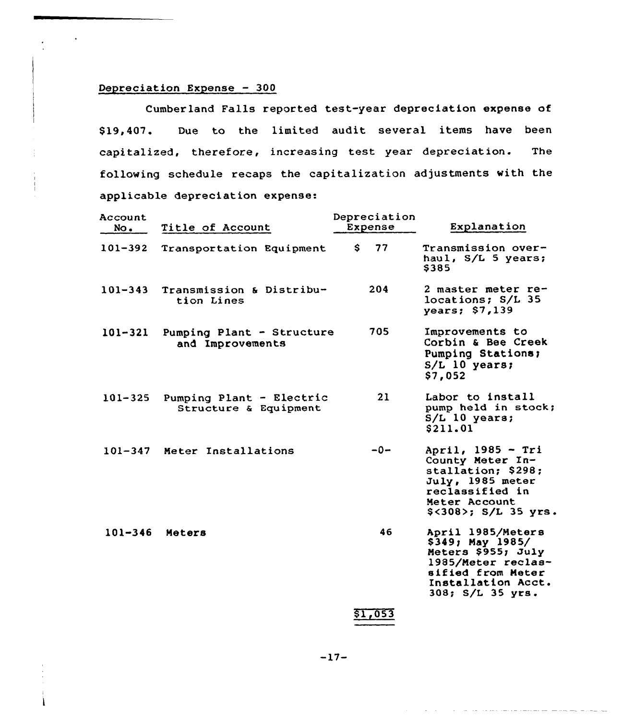## Depreciation Expense — 300

Cumberland Falls reported test-year depreciation expense of \$ 19,407. Due to the limited audit several items have been capitalized, therefore, increasing test year depreciation. The following schedule recaps the capitalization adjustments with the applicable depreciation expense:

| Account<br>No. | Title of Account                                  | Depreciation<br>Expense | Explanation                                                                                                                                      |
|----------------|---------------------------------------------------|-------------------------|--------------------------------------------------------------------------------------------------------------------------------------------------|
| 101-392        | Transportation Equipment                          | 77<br>S.                | Transmission over-<br>haul, S/L 5 years;<br>\$385                                                                                                |
| $101 - 343$    | Transmission & Distribu-<br>tion Lines            | 204                     | 2 master meter re-<br>locations; S/L 35<br>years; $$7,139$                                                                                       |
| 101-321        | Pumping Plant - Structure<br>and Improvements     | 705                     | Improvements to<br>Corbin & Bee Creek<br>Pumping Stations;<br>$S/L$ 10 years;<br>\$7,052                                                         |
| $101 - 325$    | Pumping Plant - Electric<br>Structure & Equipment | 21                      | Labor to install<br>pump held in stock;<br>$S/L$ 10 years;<br>\$211.01                                                                           |
|                | 101-347 Meter Installations                       | $-0-$                   | April, 1985 - Tri<br>County Meter In-<br>stallation; \$298;<br>July, 1985 meter<br>reclassified in<br>Meter Account<br>\$<308>; S/L 35 yrs.      |
| $101 - 346$    | Meters                                            | 46                      | April 1985/Meters<br>\$349; May 1985/<br>Meters \$955; July<br>1985/Meter reclas-<br>sified from Meter<br>Installation Acct.<br>308; S/L 35 yrs. |
|                |                                                   |                         |                                                                                                                                                  |

\$1,053

the contract contract complete and sometime

—17-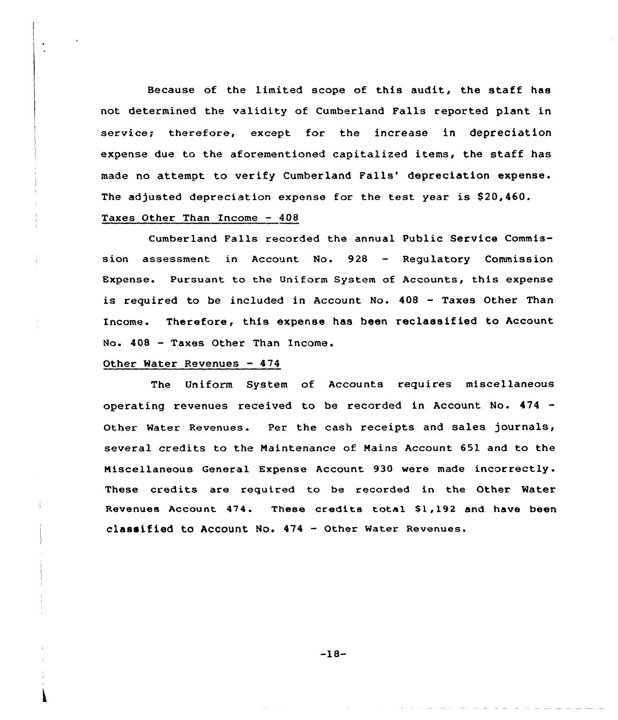Because of the limited scope of this audit, the staff has not determined the validity of Cumberland Falls reported plant in service; therefore, except for the increase in depreciation expense due to the aforementioned capitalized items, the staff has made no attempt to verify Cumberland Falls' depreciation expense. The adjusted depreciation expense for the test year is \$20,460. Taxes Other Than Income  $-408$ 

# Cumberland Falls recorded the annual Public Service Commission assessment in Account No. 928 — Regulatory Commission Expense. Pursuant to the Uniform System of Accounts, this expense is required to be included in Account No. 408 — Taxes Other Than Income. Therefore, this expense has been reclassified to Account No. 408 — Taxes Other Than Income.

#### Other Water Revenues — 474

The Uniform System of Accounts requires miscellaneous operating revenues received to be recorded in Account No. 474 Other Water Revenues. Per the cash receipts and sales journals, several credits to the Maintenance of Mains Account 651 and to the Miscellaneous General Expense Account 930 were made incorrectly. These credits are required to be recorded in the Other Water Revenues Account 474. These credits total \$1,192 and have been classified to Account No. 474 — Other Water Revenues.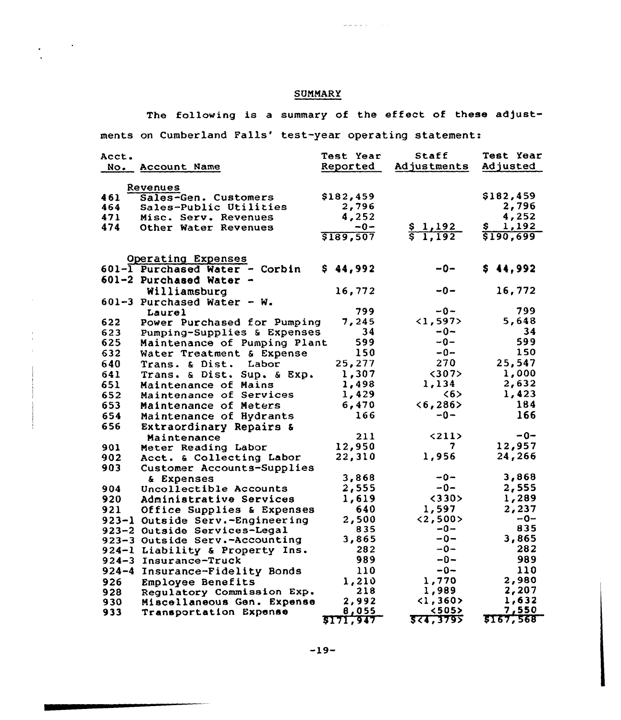## **SUMMARY**

The following is a summary of the effect of these adjust-

 $\omega$  as  $\omega$  as  $\omega$  . The set of  $\omega$ 

ments on Cumberland Falls' test-year operating statement:

| Acct.<br>No. | Account Name                    | <b>Test Year</b><br>Reported | Staff<br>Adjustments     | <b>Test Year</b><br>Adjusted |
|--------------|---------------------------------|------------------------------|--------------------------|------------------------------|
|              |                                 |                              |                          |                              |
|              | Revenues                        |                              |                          |                              |
| 461          | Sales-Gen. Customers            | \$182,459                    |                          | \$182,459                    |
| 464          | Sales-Public Utilities          | 2,796                        |                          | 2,796                        |
| 471          | Misc. Serv. Revenues            | 4,252                        |                          | 4,252                        |
| 474          | Other Water Revenues            | $-0-$                        | \$1,192                  | 1,192<br>Ş                   |
|              |                                 | \$189,507                    | $\sqrt{5}$ 1,192         | \$190,699                    |
|              |                                 |                              |                          |                              |
|              | Operating Expenses              |                              |                          |                              |
|              | 601-1 Purchased Water - Corbin  | \$44,992                     | $-0-$                    | \$44,992                     |
|              | 601-2 Purchased Water -         |                              |                          |                              |
|              | Williamsburg                    | 16,772                       | --0−                     | 16,772                       |
|              | 601-3 Purchased Water - W.      |                              |                          |                              |
|              | Laurel                          | 799                          | -0-                      | 799                          |
| 622          | Power Purchased for Pumping     | 7,245                        | <1,597>                  | 5,648                        |
| 623          | Pumping-Supplies & Expenses     | 34                           | $-0-$                    | 34                           |
| 625          | Maintenance of Pumping Plant    | 599                          | $-0-$                    | 599                          |
| 632          | Water Treatment & Expense       | 150                          | $-0-$                    | 150                          |
| 640          | Trans. & Dist. Labor            | 25,277                       | 270                      | 25,547                       |
| 641          | Trans. & Dist. Sup. & Exp.      | 1,307                        | $307$                    | 1,000                        |
| 651          | Maintenance of Mains            | 1,498                        | 1,134                    | 2,632                        |
| 652          | Maintenance of Services         | 1,429                        | 55                       | 1,423                        |
| 653          | Maintenance of Meters           | 6,470                        | $6, 286>$                | 184                          |
| 654          | Maintenance of Hydrants         | 166                          | $-0-$                    | 166                          |
| 656          | Extraordinary Repairs &         |                              |                          |                              |
|              | Maintenance                     | 211                          | <211                     | $-0-$                        |
| 901          | Meter Reading Labor             | 12,950                       | 7                        | 12,957                       |
| 902          | Acct. & Collecting Labor        | 22,310                       | 1,956                    | 24,266                       |
| 903          | Customer Accounts-Supplies      |                              |                          |                              |
|              | & Expenses                      | 3,868                        | $-0-$                    | 3,868                        |
| 904          | Uncollectible Accounts          | 2,555                        | -0-                      | 2,555                        |
| 920.         | Administrative Services         | 1,619                        | <330>                    | 1,289                        |
| 921          | Office Supplies & Expenses      | 640                          | 1,597                    | 2,237                        |
|              | 923-1 Outside Serv.-Engineering | 2,500                        | <2,500>                  | $-0-$                        |
|              | 923-2 Outside Services-Legal    | 835                          | $-0-$                    | 835                          |
|              | 923-3 Outside Serv.-Accounting  | 3,865                        | $-0-$                    | 3,865                        |
|              | 924-1 Liability & Property Ins. | 282                          | $-0-$                    | 282                          |
|              | 924-3 Insurance-Truck           | 989                          | -0-                      | 989                          |
| $924 - 4$    | Insurance-Fidelity Bonds        | 110                          | $-0-$                    | 110                          |
| 926          | Employee Benefits               | 1,210                        | 1,770                    | 2,980                        |
| 928          | Regulatory Commission Exp.      | 218                          | 1,989                    | 2,207                        |
| 930          | Miscellaneous Gen. Expense      | 2,992                        | $\langle 1, 360 \rangle$ | 1,632                        |
| 933          | Transportation Expense          | 8,055                        | <505>                    | 7,550                        |
|              |                                 | 5171,947                     | 524,3795                 | <b>\$167,568</b>             |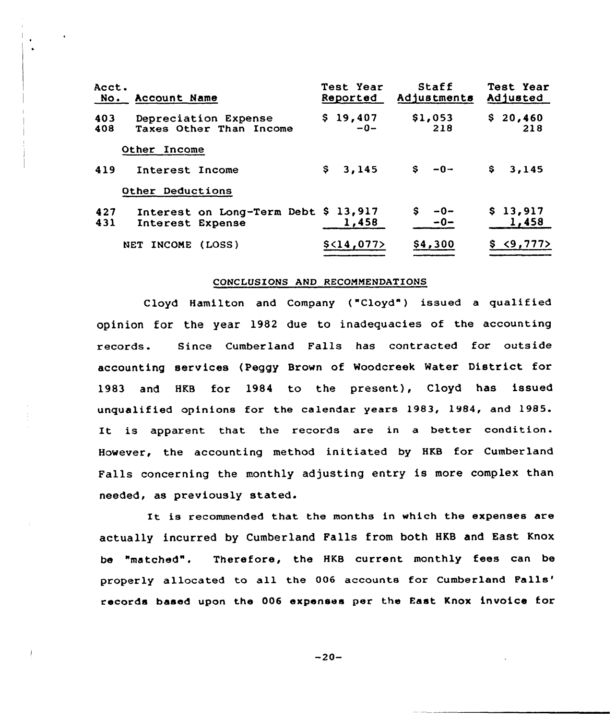| Acct.<br>No. | Account Name                                    |                                      | Test Year<br>Reported               | Staff<br>Adjustments | Test Year<br>Adjusted |
|--------------|-------------------------------------------------|--------------------------------------|-------------------------------------|----------------------|-----------------------|
| 403<br>408   | Depreciation Expense<br>Taxes Other Than Income |                                      | \$19,407<br>\$1,053<br>218<br>$-0-$ |                      | \$20,460<br>218       |
|              | Other Income                                    |                                      |                                     |                      |                       |
| 419          | Interest Income                                 |                                      | \$3,145                             | $$ -0 -$             | S,<br>3,145           |
|              | Other Deductions                                |                                      |                                     |                      |                       |
| 427<br>431   | Interest Expense                                | Interest on Long-Term Debt \$ 13,917 | 1,458                               | S.<br>--0<br>$-0-$   | \$13,917<br>1,458     |
|              | INCOME<br>NET.                                  | (LOSS)                               | \$ <sub>14</sub> ,077>              | \$4,300              | \$3,777               |

#### CONCLUSIONS AND RECOMMENDATIONS

Cloyd Hamilton and Company ("Cloyd") issued a qualified opinion for the year 1982 due to inadequacies of the accounting records. Since Cumberland Falls has contracted for outside accounting services (Peggy Brown of Woodcreek Water District for 1983 and HKB for 1984 to the present), Cloyd has issued unqualified opinions for the calendar years 1983, 1984, and 1985. It is apparent that the records are in <sup>a</sup> better condition. However, the accounting method initiated by HKB for Cumberland Falls concerning the monthly adjusting entry is more complex than needed, as previously stated.

It is recommended that the months in which the expenses are actually incurred by Cumberland Falls from both HKB and East Knox be "matched". Therefore, the HKB current monthly fees can be properly allocated to all the 006 accounts for Cumberland Falls' records based upon the 006 expenses per the East Knox invoice for

 $-20-$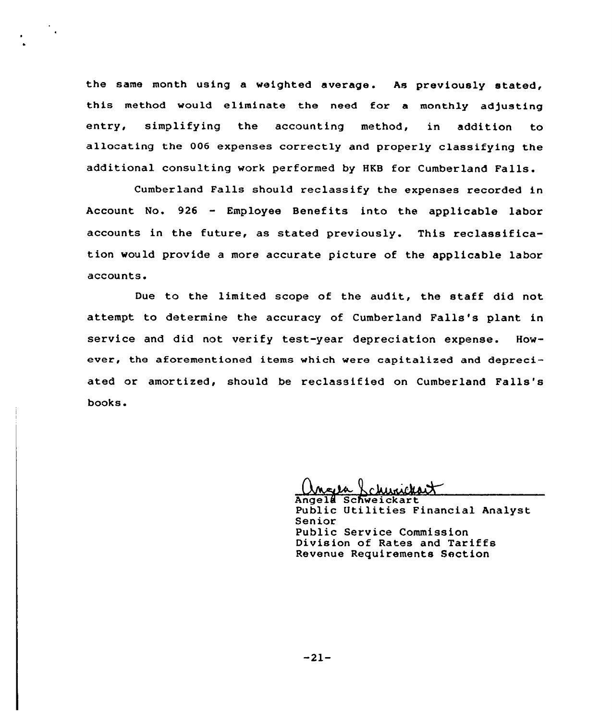the same month using a weighted average. As previously stated, this method would eliminate the need for a monthly adjusting entry, simplifying the accounting method, in addition to allocating the 006 expenses correctly and properly classifying the additional consulting work performed by HKB for Cumberland Falls.

 $\sim 10^4$ 

Cumberland Falls should reclassify the expenses recorded in Account No. <sup>926</sup> - Employee Benefits into the applicable labor accounts in the future, as stated previously. This reclassification would provide a more accurate picture of the applicable labor accounts.

Due to the limited scope of the audit, the staff did not attempt to determine the accuracy of Cumberland Falls's plant in service and did not verify test-year depreciation expense. However, the aforementioned items which were capitalized and depreciated or amortized, should be reclassified on Cumberland Falls's books.

Angela Schweickart Public Utilities Financial Analyst Senior Public Service Commission Division of Rates and Tariffs Revenue Requirements Section